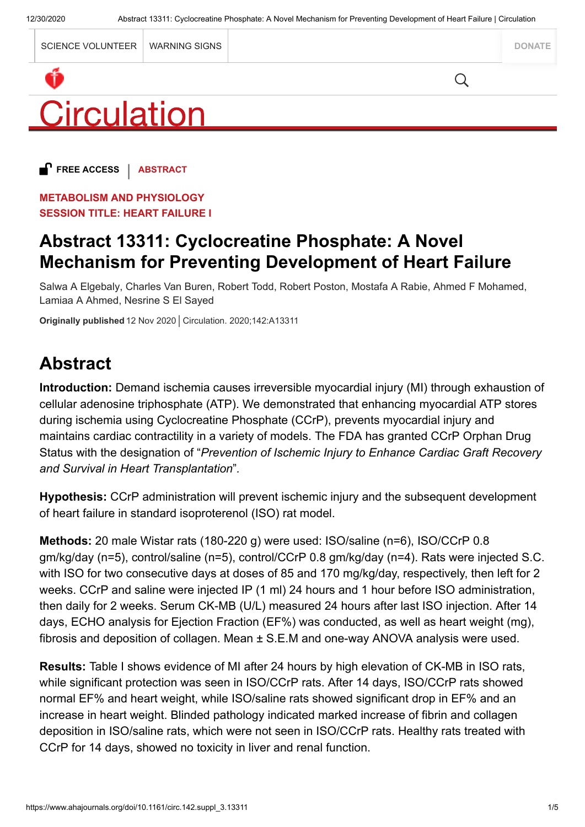

**FREE ACCESS** | **ABSTRACT**

**METABOLISM AND PHYSIOLOGY SESSION TITLE: HEART FAILURE I**

## **Abstract 13311: Cyclocreatine Phosphate: A Novel Mechanism for Preventing Development of Heart Failure**

Salwa A Elgebaly, Charles Van Buren, Robert Todd, Robert Poston, Mostafa A Rabie, Ahmed F Mohamed, Lamiaa A Ahmed, Nesrine S El Sayed

**Originally published** 12 Nov 2020 Circulation. 2020;142:A13311

# **Abstract**

**Introduction:** Demand ischemia causes irreversible myocardial injury (MI) through exhaustion of cellular adenosine triphosphate (ATP). We demonstrated that enhancing myocardial ATP stores during ischemia using Cyclocreatine Phosphate (CCrP), prevents myocardial injury and maintains cardiac contractility in a variety of models. The FDA has granted CCrP Orphan Drug Status with the designation of "*Prevention of Ischemic Injury to Enhance Cardiac Graft Recovery and Survival in Heart Transplantation*"*.*

**Hypothesis:** CCrP administration will prevent ischemic injury and the subsequent development of heart failure in standard isoproterenol (ISO) rat model.

**Methods:** 20 male Wistar rats (180-220 g) were used: ISO/saline (n=6), ISO/CCrP 0.8 gm/kg/day (n=5), control/saline (n=5), control/CCrP 0.8 gm/kg/day (n=4). Rats were injected S.C. with ISO for two consecutive days at doses of 85 and 170 mg/kg/day, respectively, then left for 2 weeks. CCrP and saline were injected IP (1 ml) 24 hours and 1 hour before ISO administration, then daily for 2 weeks. Serum CK-MB (U/L) measured 24 hours after last ISO injection. After 14 days, ECHO analysis for Ejection Fraction (EF%) was conducted, as well as heart weight (mg), fibrosis and deposition of collagen. Mean ± S.E.M and one-way ANOVA analysis were used.

**Results:** Table I shows evidence of MI after 24 hours by high elevation of CK-MB in ISO rats, while significant protection was seen in ISO/CCrP rats. After 14 days, ISO/CCrP rats showed normal EF% and heart weight, while ISO/saline rats showed significant drop in EF% and an increase in heart weight. Blinded pathology indicated marked increase of fibrin and collagen deposition in ISO/saline rats, which were not seen in ISO/CCrP rats. Healthy rats treated with CCrP for 14 days, showed no toxicity in liver and renal function.